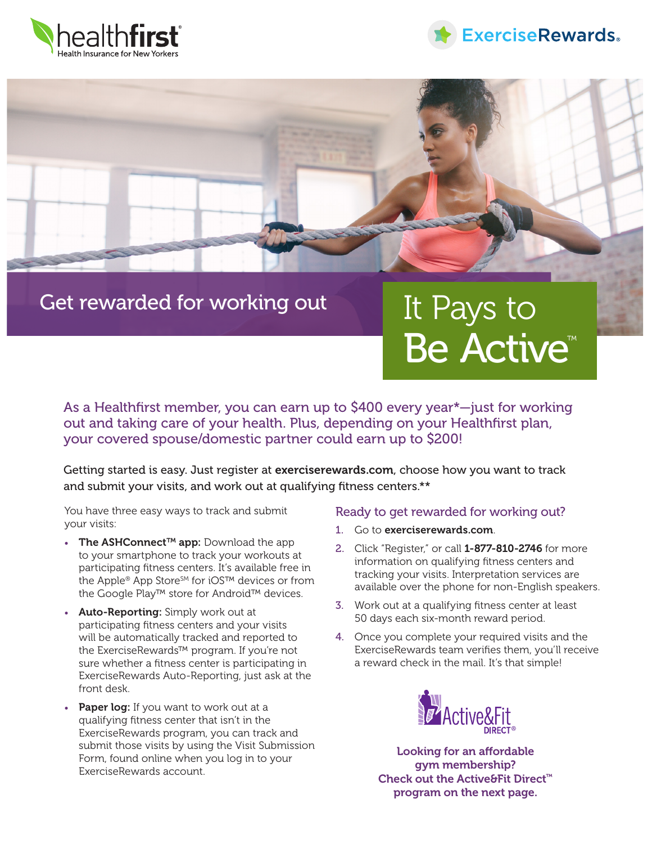



### **ExerciseRewards**



## Get rewarded for working out It Pays to

# **Be Active™**

As a Healthfirst member, you can earn up to \$400 every year\*—just for working out and taking care of your health. Plus, depending on your Healthfirst plan, your covered spouse/domestic partner could earn up to \$200!

Getting started is easy. Just register at exerciserewards.com, choose how you want to track and submit your visits, and work out at qualifying fitness centers.\*\*

You have three easy ways to track and submit your visits:

- The ASHConnect<sup>TM</sup> app: Download the app to your smartphone to track your workouts at participating fitness centers. It's available free in the Apple® App Store<sup>sM</sup> for iOS™ devices or from the Google Play™ store for Android™ devices.
- Auto-Reporting: Simply work out at participating fitness centers and your visits will be automatically tracked and reported to the ExerciseRewards™ program. If you're not sure whether a fitness center is participating in ExerciseRewards Auto-Reporting, just ask at the front desk.
- Paper log: If you want to work out at a qualifying fitness center that isn't in the ExerciseRewards program, you can track and submit those visits by using the Visit Submission Form, found online when you log in to your ExerciseRewards account.

#### Ready to get rewarded for working out?

- 1. Go to exerciserewards.com.
- 2. Click "Register," or call 1-877-810-2746 for more information on qualifying fitness centers and tracking your visits. Interpretation services are available over the phone for non-English speakers.
- 3. Work out at a qualifying fitness center at least 50 days each six-month reward period.
- 4. Once you complete your required visits and the ExerciseRewards team verifies them, you'll receive a reward check in the mail. It's that simple!



Looking for an affordable gym membership? Check out the Active&Fit Direct<sup>™</sup> program on the next page.